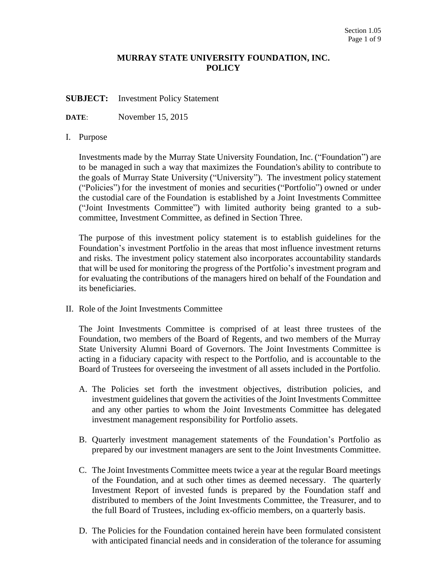## **MURRAY STATE UNIVERSITY FOUNDATION, INC. POLICY**

**SUBJECT:** Investment Policy Statement

**DATE**: November 15, 2015

## I. Purpose

Investments made by the Murray State University Foundation, Inc. ("Foundation") are to be managed in such a way that maximizes the Foundation's ability to contribute to the goals of Murray State University ("University"). The investment policy statement ("Policies") for the investment of monies and securities ("Portfolio") owned or under the custodial care of the Foundation is established by a Joint Investments Committee ("Joint Investments Committee") with limited authority being granted to a subcommittee, Investment Committee, as defined in Section Three.

The purpose of this investment policy statement is to establish guidelines for the Foundation's investment Portfolio in the areas that most influence investment returns and risks. The investment policy statement also incorporates accountability standards that will be used for monitoring the progress of the Portfolio's investment program and for evaluating the contributions of the managers hired on behalf of the Foundation and its beneficiaries.

II. Role of the Joint Investments Committee

The Joint Investments Committee is comprised of at least three trustees of the Foundation, two members of the Board of Regents, and two members of the Murray State University Alumni Board of Governors. The Joint Investments Committee is acting in a fiduciary capacity with respect to the Portfolio, and is accountable to the Board of Trustees for overseeing the investment of all assets included in the Portfolio.

- A. The Policies set forth the investment objectives, distribution policies, and investment guidelines that govern the activities of the Joint Investments Committee and any other parties to whom the Joint Investments Committee has delegated investment management responsibility for Portfolio assets.
- B. Quarterly investment management statements of the Foundation's Portfolio as prepared by our investment managers are sent to the Joint Investments Committee.
- C. The Joint Investments Committee meets twice a year at the regular Board meetings of the Foundation, and at such other times as deemed necessary. The quarterly Investment Report of invested funds is prepared by the Foundation staff and distributed to members of the Joint Investments Committee, the Treasurer, and to the full Board of Trustees, including ex-officio members, on a quarterly basis.
- D. The Policies for the Foundation contained herein have been formulated consistent with anticipated financial needs and in consideration of the tolerance for assuming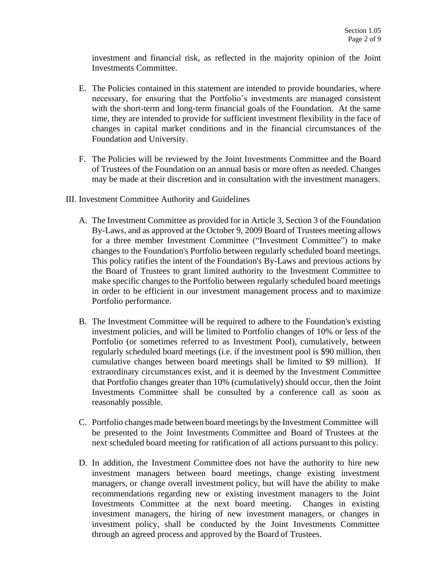investment and financial risk, as reflected in the majority opinion of the Joint Investments Committee.

- E. The Policies contained in this statement are intended to provide boundaries, where necessary, for ensuring that the Portfolio's investments are managed consistent with the short-term and long-term financial goals of the Foundation. At the same time, they are intended to provide for sufficient investment flexibility in the face of changes in capital market conditions and in the financial circumstances of the Foundation and University.
- F. The Policies will be reviewed by the Joint Investments Committee and the Board of Trustees of the Foundation on an annual basis or more often as needed. Changes may be made at their discretion and in consultation with the investment managers.
- III. Investment Committee Authority and Guidelines
	- A. The Investment Committee as provided for in Article 3, Section 3 of the Foundation By-Laws, and as approved at the October 9, 2009 Board of Trustees meeting allows for a three member Investment Committee ("Investment Committee") to make changes to the Foundation's Portfolio between regularly scheduled board meetings. This policy ratifies the intent of the Foundation's By-Laws and previous actions by the Board of Trustees to grant limited authority to the Investment Committee to make specific changes to the Portfolio between regularly scheduled board meetings in order to be efficient in our investment management process and to maximize Portfolio performance.
	- B. The Investment Committee will be required to adhere to the Foundation's existing investment policies, and will be limited to Portfolio changes of 10% or less of the Portfolio (or sometimes referred to as Investment Pool), cumulatively, between regularly scheduled board meetings (i.e. if the investment pool is \$90 million, then cumulative changes between board meetings shall be limited to \$9 million). If extraordinary circumstances exist, and it is deemed by the Investment Committee that Portfolio changes greater than 10% (cumulatively) should occur, then the Joint Investments Committee shall be consulted by a conference call as soon as reasonably possible.
	- C. Portfolio changesmade between board meetings by the Investment Committee will be presented to the Joint Investments Committee and Board of Trustees at the next scheduled board meeting for ratification of all actions pursuant to this policy.
	- D. In addition, the Investment Committee does not have the authority to hire new investment managers between board meetings, change existing investment managers, or change overall investment policy, but will have the ability to make recommendations regarding new or existing investment managers to the Joint Investments Committee at the next board meeting. Changes in existing investment managers, the hiring of new investment managers, or changes in investment policy, shall be conducted by the Joint Investments Committee through an agreed process and approved by the Board of Trustees.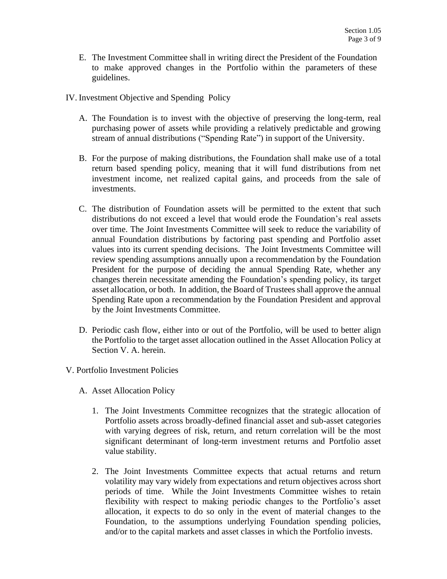- E. The Investment Committee shall in writing direct the President of the Foundation to make approved changes in the Portfolio within the parameters of these guidelines.
- IV. Investment Objective and Spending Policy
	- A. The Foundation is to invest with the objective of preserving the long-term, real purchasing power of assets while providing a relatively predictable and growing stream of annual distributions ("Spending Rate") in support of the University.
	- B. For the purpose of making distributions, the Foundation shall make use of a total return based spending policy, meaning that it will fund distributions from net investment income, net realized capital gains, and proceeds from the sale of investments.
	- C. The distribution of Foundation assets will be permitted to the extent that such distributions do not exceed a level that would erode the Foundation's real assets over time. The Joint Investments Committee will seek to reduce the variability of annual Foundation distributions by factoring past spending and Portfolio asset values into its current spending decisions. The Joint Investments Committee will review spending assumptions annually upon a recommendation by the Foundation President for the purpose of deciding the annual Spending Rate, whether any changes therein necessitate amending the Foundation's spending policy, its target asset allocation, or both. In addition, the Board of Trustees shall approve the annual Spending Rate upon a recommendation by the Foundation President and approval by the Joint Investments Committee.
	- D. Periodic cash flow, either into or out of the Portfolio, will be used to better align the Portfolio to the target asset allocation outlined in the Asset Allocation Policy at Section V. A. herein.
- V. Portfolio Investment Policies
	- A. Asset Allocation Policy
		- 1. The Joint Investments Committee recognizes that the strategic allocation of Portfolio assets across broadly-defined financial asset and sub-asset categories with varying degrees of risk, return, and return correlation will be the most significant determinant of long-term investment returns and Portfolio asset value stability.
		- 2. The Joint Investments Committee expects that actual returns and return volatility may vary widely from expectations and return objectives across short periods of time. While the Joint Investments Committee wishes to retain flexibility with respect to making periodic changes to the Portfolio's asset allocation, it expects to do so only in the event of material changes to the Foundation, to the assumptions underlying Foundation spending policies, and/or to the capital markets and asset classes in which the Portfolio invests.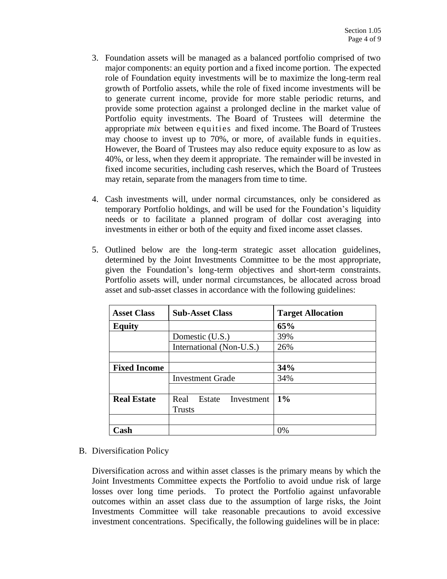- 3. Foundation assets will be managed as a balanced portfolio comprised of two major components: an equity portion and a fixed income portion. The expected role of Foundation equity investments will be to maximize the long-term real growth of Portfolio assets, while the role of fixed income investments will be to generate current income, provide for more stable periodic returns, and provide some protection against a prolonged decline in the market value of Portfolio equity investments. The Board of Trustees will determine the appropriate *mix* between equities and fixed income. The Board of Trustees may choose to invest up to 70%, or more, of available funds in equities. However, the Board of Trustees may also reduce equity exposure to as low as 40%, or less, when they deem it appropriate. The remainder will be invested in fixed income securities, including cash reserves, which the Board of Trustees may retain, separate from the managers from time to time.
- 4. Cash investments will, under normal circumstances, only be considered as temporary Portfolio holdings, and will be used for the Foundation's liquidity needs or to facilitate a planned program of dollar cost averaging into investments in either or both of the equity and fixed income asset classes.
- 5. Outlined below are the long-term strategic asset allocation guidelines, determined by the Joint Investments Committee to be the most appropriate, given the Foundation's long-term objectives and short-term constraints. Portfolio assets will, under normal circumstances, be allocated across broad asset and sub-asset classes in accordance with the following guidelines:

| <b>Asset Class</b>  | <b>Sub-Asset Class</b>       | <b>Target Allocation</b> |
|---------------------|------------------------------|--------------------------|
| <b>Equity</b>       |                              | 65%                      |
|                     | Domestic (U.S.)              | 39%                      |
|                     | International (Non-U.S.)     | 26%                      |
|                     |                              |                          |
| <b>Fixed Income</b> |                              | 34%                      |
|                     | <b>Investment Grade</b>      | 34%                      |
|                     |                              |                          |
| <b>Real Estate</b>  | Real<br>Estate<br>Investment | $1\%$                    |
|                     | <b>Trusts</b>                |                          |
|                     |                              |                          |
| Cash                |                              | 0%                       |

B. Diversification Policy

Diversification across and within asset classes is the primary means by which the Joint Investments Committee expects the Portfolio to avoid undue risk of large losses over long time periods. To protect the Portfolio against unfavorable outcomes within an asset class due to the assumption of large risks, the Joint Investments Committee will take reasonable precautions to avoid excessive investment concentrations. Specifically, the following guidelines will be in place: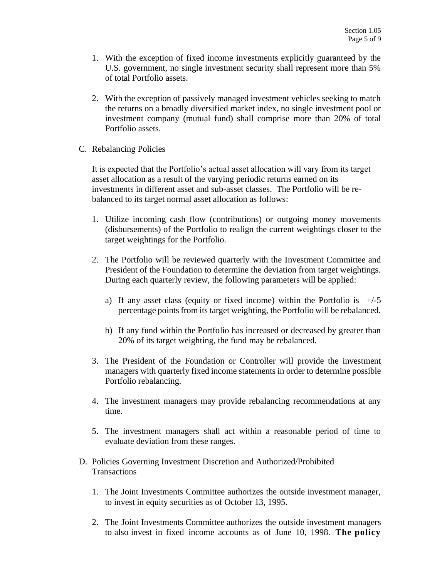- 1. With the exception of fixed income investments explicitly guaranteed by the U.S. government, no single investment security shall represent more than 5% of total Portfolio assets.
- 2. With the exception of passively managed investment vehicles seeking to match the returns on a broadly diversified market index, no single investment pool or investment company (mutual fund) shall comprise more than 20% of total Portfolio assets.
- C. Rebalancing Policies

It is expected that the Portfolio's actual asset allocation will vary from its target asset allocation as a result of the varying periodic returns earned on its investments in different asset and sub-asset classes. The Portfolio will be rebalanced to its target normal asset allocation as follows:

- 1. Utilize incoming cash flow (contributions) or outgoing money movements (disbursements) of the Portfolio to realign the current weightings closer to the target weightings for the Portfolio.
- 2. The Portfolio will be reviewed quarterly with the Investment Committee and President of the Foundation to determine the deviation from target weightings. During each quarterly review, the following parameters will be applied:
	- a) If any asset class (equity or fixed income) within the Portfolio is  $+/-5$ percentage points from its target weighting, the Portfolio will be rebalanced.
	- b) If any fund within the Portfolio has increased or decreased by greater than 20% of its target weighting, the fund may be rebalanced.
- 3. The President of the Foundation or Controller will provide the investment managers with quarterly fixed income statements in order to determine possible Portfolio rebalancing.
- 4. The investment managers may provide rebalancing recommendations at any time.
- 5. The investment managers shall act within a reasonable period of time to evaluate deviation from these ranges.
- D. Policies Governing Investment Discretion and Authorized/Prohibited **Transactions** 
	- 1. The Joint Investments Committee authorizes the outside investment manager, to invest in equity securities as of October 13, 1995.
	- 2. The Joint Investments Committee authorizes the outside investment managers to also invest in fixed income accounts as of June 10, 1998. **The policy**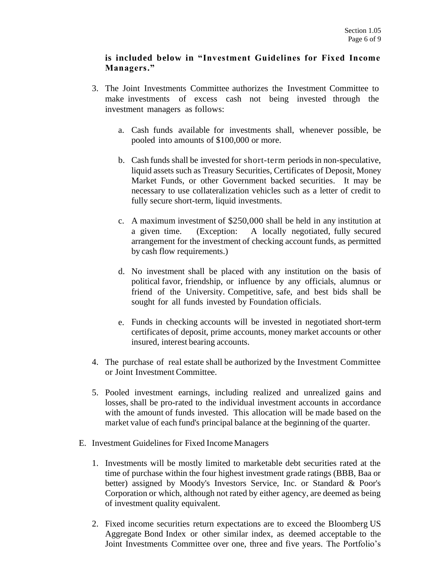## **is included below in "Investment Guidelines for Fixed Income Managers."**

- 3. The Joint Investments Committee authorizes the Investment Committee to make investments of excess cash not being invested through the investment managers as follows:
	- a. Cash funds available for investments shall, whenever possible, be pooled into amounts of \$100,000 or more.
	- b. Cash funds shall be invested for short-term periodsin non-speculative, liquid assets such as Treasury Securities, Certificates of Deposit, Money Market Funds, or other Government backed securities. It may be necessary to use collateralization vehicles such as a letter of credit to fully secure short-term, liquid investments.
	- c. A maximum investment of \$250,000 shall be held in any institution at a given time. (Exception: A locally negotiated, fully secured arrangement for the investment of checking account funds, as permitted by cash flow requirements.)
	- d. No investment shall be placed with any institution on the basis of political favor, friendship, or influence by any officials, alumnus or friend of the University. Competitive, safe, and best bids shall be sought for all funds invested by Foundation officials.
	- e. Funds in checking accounts will be invested in negotiated short-term certificates of deposit, prime accounts, money market accounts or other insured, interest bearing accounts.
- 4. The purchase of real estate shall be authorized by the Investment Committee or Joint Investment Committee.
- 5. Pooled investment earnings, including realized and unrealized gains and losses, shall be pro-rated to the individual investment accounts in accordance with the amount of funds invested. This allocation will be made based on the market value of each fund's principal balance at the beginning of the quarter.
- E. Investment Guidelines for Fixed Income Managers
	- 1. Investments will be mostly limited to marketable debt securities rated at the time of purchase within the four highest investment grade ratings (BBB, Baa or better) assigned by Moody's Investors Service, Inc. or Standard & Poor's Corporation or which, although not rated by either agency, are deemed as being of investment quality equivalent.
	- 2. Fixed income securities return expectations are to exceed the Bloomberg US Aggregate Bond Index or other similar index, as deemed acceptable to the Joint Investments Committee over one, three and five years. The Portfolio's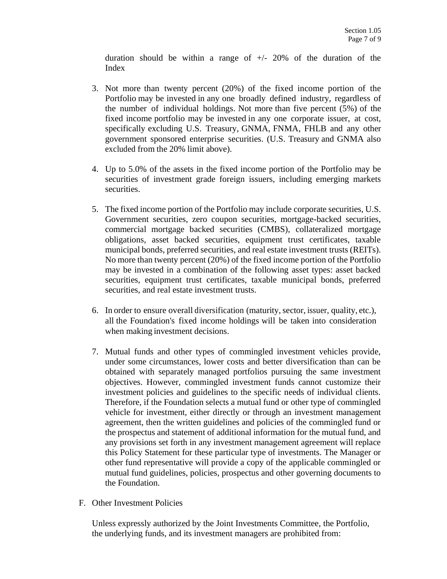duration should be within a range of  $+/- 20\%$  of the duration of the Index

- 3. Not more than twenty percent (20%) of the fixed income portion of the Portfolio may be invested in any one broadly defined industry, regardless of the number of individual holdings. Not more than five percent (5%) of the fixed income portfolio may be invested in any one corporate issuer, at cost, specifically excluding U.S. Treasury, GNMA, FNMA, FHLB and any other government sponsored enterprise securities. (U.S. Treasury and GNMA also excluded from the 20% limit above).
- 4. Up to 5.0% of the assets in the fixed income portion of the Portfolio may be securities of investment grade foreign issuers, including emerging markets securities.
- 5. The fixed income portion of the Portfolio may include corporate securities, U.S. Government securities, zero coupon securities, mortgage-backed securities, commercial mortgage backed securities (CMBS), collateralized mortgage obligations, asset backed securities, equipment trust certificates, taxable municipal bonds, preferred securities, and real estate investment trusts (REITs). No more than twenty percent (20%) of the fixed income portion of the Portfolio may be invested in a combination of the following asset types: asset backed securities, equipment trust certificates, taxable municipal bonds, preferred securities, and real estate investment trusts.
- 6. In order to ensure overall diversification (maturity,sector, issuer, quality, etc.), all the Foundation's fixed income holdings will be taken into consideration when making investment decisions.
- 7. Mutual funds and other types of commingled investment vehicles provide, under some circumstances, lower costs and better diversification than can be obtained with separately managed portfolios pursuing the same investment objectives. However, commingled investment funds cannot customize their investment policies and guidelines to the specific needs of individual clients. Therefore, if the Foundation selects a mutual fund or other type of commingled vehicle for investment, either directly or through an investment management agreement, then the written guidelines and policies of the commingled fund or the prospectus and statement of additional information for the mutual fund, and any provisions set forth in any investment management agreement will replace this Policy Statement for these particular type of investments. The Manager or other fund representative will provide a copy of the applicable commingled or mutual fund guidelines, policies, prospectus and other governing documents to the Foundation.
- F. Other Investment Policies

Unless expressly authorized by the Joint Investments Committee, the Portfolio, the underlying funds, and its investment managers are prohibited from: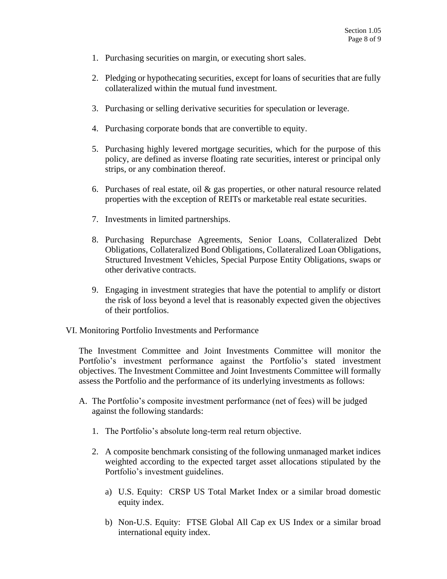- 1. Purchasing securities on margin, or executing short sales.
- 2. Pledging or hypothecating securities, except for loans of securities that are fully collateralized within the mutual fund investment.
- 3. Purchasing or selling derivative securities for speculation or leverage.
- 4. Purchasing corporate bonds that are convertible to equity.
- 5. Purchasing highly levered mortgage securities, which for the purpose of this policy, are defined as inverse floating rate securities, interest or principal only strips, or any combination thereof.
- 6. Purchases of real estate, oil & gas properties, or other natural resource related properties with the exception of REITs or marketable real estate securities.
- 7. Investments in limited partnerships.
- 8. Purchasing Repurchase Agreements, Senior Loans, Collateralized Debt Obligations, Collateralized Bond Obligations, Collateralized Loan Obligations, Structured Investment Vehicles, Special Purpose Entity Obligations, swaps or other derivative contracts.
- 9. Engaging in investment strategies that have the potential to amplify or distort the risk of loss beyond a level that is reasonably expected given the objectives of their portfolios.
- VI. Monitoring Portfolio Investments and Performance

The Investment Committee and Joint Investments Committee will monitor the Portfolio's investment performance against the Portfolio's stated investment objectives. The Investment Committee and Joint Investments Committee will formally assess the Portfolio and the performance of its underlying investments as follows:

- A. The Portfolio's composite investment performance (net of fees) will be judged against the following standards:
	- 1. The Portfolio's absolute long-term real return objective.
	- 2. A composite benchmark consisting of the following unmanaged market indices weighted according to the expected target asset allocations stipulated by the Portfolio's investment guidelines.
		- a) U.S. Equity: CRSP US Total Market Index or a similar broad domestic equity index.
		- b) Non-U.S. Equity: FTSE Global All Cap ex US Index or a similar broad international equity index.